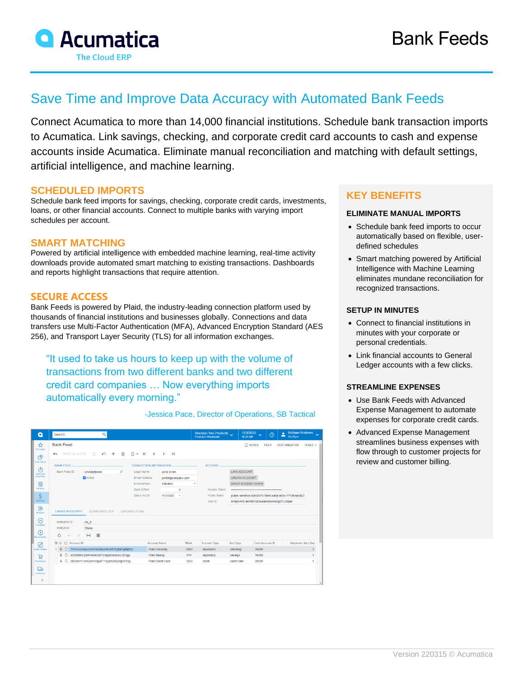

# Save Time and Improve Data Accuracy with Automated Bank Feeds

Connect Acumatica to more than 14,000 financial institutions. Schedule bank transaction imports to Acumatica. Link savings, checking, and corporate credit card accounts to cash and expense accounts inside Acumatica. Eliminate manual reconciliation and matching with default settings, artificial intelligence, and machine learning.

### **SCHEDULED IMPORTS**

Schedule bank feed imports for savings, checking, corporate credit cards, investments, loans, or other financial accounts. Connect to multiple banks with varying import schedules per account.

## **SMART MATCHING**

Powered by artificial intelligence with embedded machine learning, real-time activity downloads provide automated smart matching to existing transactions. Dashboards and reports highlight transactions that require attention.

## **SECURE ACCESS**

Bank Feeds is powered by Plaid, the industry-leading connection platform used by thousands of financial institutions and businesses globally. Connections and data transfers use Multi-Factor Authentication (MFA), Advanced Encryption Standard (AES 256), and Transport Layer Security (TLS) for all information exchanges.

"It used to take us hours to keep up with the volume of transactions from two different banks and two different credit card companies … Now everything imports automatically every morning."

| Q                                 | Search                                                                                                                                                                                                                 | $\alpha$                            |                                      |                                  |      | Revision Two Products<br>Products Wholesale | 11/3/2020<br>10:24 AM                                                                        | $\odot$<br>$\ddotmark$ | <b>Michael Andrews</b><br>$\ddotmark$<br>∸<br>AcuSync |  |
|-----------------------------------|------------------------------------------------------------------------------------------------------------------------------------------------------------------------------------------------------------------------|-------------------------------------|--------------------------------------|----------------------------------|------|---------------------------------------------|----------------------------------------------------------------------------------------------|------------------------|-------------------------------------------------------|--|
| ☆<br>Favorites<br>ල               | <b>Bank Feed</b><br><b>NOTES</b><br><b>FILES</b><br><b>CUSTOMIZATION</b><br>TOOLS $\star$<br>周<br>自<br>$D - K$<br>SAVE & CLOSE<br>$+$<br>$\sim$<br>$\rightarrow$<br>$\rightarrow$<br>$\curvearrowleft$<br>$\leftarrow$ |                                     |                                      |                                  |      |                                             |                                                                                              |                        |                                                       |  |
| Data Views                        | <b>BANK FEED</b><br><b>CONNECTION INFORMATION</b>                                                                                                                                                                      |                                     |                                      |                                  |      | <b>ACTIONS</b>                              |                                                                                              |                        |                                                       |  |
| Φ<br>Time and                     | Bank Feed ID:<br>Q<br><b>CHASEBANK</b>                                                                                                                                                                                 |                                     |                                      | Legal Name:<br><b>John Smith</b> |      | LINK ACCOUNT                                |                                                                                              |                        |                                                       |  |
| Expenses                          | Active                                                                                                                                                                                                                 |                                     | Email Address:<br>jsmith@company.com |                                  |      |                                             | UNLINK ACCOUNT                                                                               |                        |                                                       |  |
| 而                                 |                                                                                                                                                                                                                        |                                     | Environment                          | Sandbox                          |      |                                             | SHOW ACCESS TOKEN                                                                            |                        |                                                       |  |
| Finance                           |                                                                                                                                                                                                                        |                                     | Days Offset:                         | 3                                |      | Access Token:                               |                                                                                              |                        |                                                       |  |
| $\mathsf{S}$<br>Banking           |                                                                                                                                                                                                                        |                                     | Query As Of:                         | 11/2/2020<br>$\;$                |      | Public Token:<br>Item ID:                   | public-sandbox-b2b0c876-9ae6-4464-a55c-7713fcaa3423<br>kPgdVNKE4eIM8VQDw4laIkbXwKezgBTLEKja6 |                        |                                                       |  |
| 물<br>Projects<br>Θ                | <b>LINKED ACCOUNTS</b><br><b>CORPORATE CCS</b><br><b>EXPENSE ITEMS</b><br>Institution ID:<br>ins <sub>3</sub>                                                                                                          |                                     |                                      |                                  |      |                                             |                                                                                              |                        |                                                       |  |
| Payables                          | Institution:<br>Chase                                                                                                                                                                                                  |                                     |                                      |                                  |      |                                             |                                                                                              |                        |                                                       |  |
| Ð<br>Receivables                  | Ò<br>$\times$<br>÷                                                                                                                                                                                                     | $\overline{\mathbf{x}}$<br>$\vdash$ |                                      |                                  |      |                                             |                                                                                              |                        |                                                       |  |
| ⊘                                 | 图 6<br>Account ID                                                                                                                                                                                                      |                                     | <b>Account Name</b>                  |                                  | Mask | <b>Account Type</b>                         | Sub Type                                                                                     | <b>Cash Account ID</b> | <b>Statement Start Day</b>                            |  |
| Sales Orders                      | > @ D 7mEwGnMqeJtAwK9zbe6JHkv8BREjEpFgBqBZz                                                                                                                                                                            |                                     |                                      | Plaid Checking                   | 0000 | depository                                  | checking                                                                                     | 10200                  | 1                                                     |  |
| Þ                                 | 0 □ e35K9BkEzqhP4Nv6QX7Et6jq5DezeacL3G3gy                                                                                                                                                                              |                                     |                                      | Plaid Saving                     |      | depository                                  | savings                                                                                      | 10300                  |                                                       |  |
| Purchases                         | <b>BD</b><br>Z659on17JxhQel9rWgxBT1XpzbQ8QAfg1B13g                                                                                                                                                                     |                                     |                                      | Plaid Credit Card                | 3333 | credit                                      | credit card                                                                                  | 20500                  | 4                                                     |  |
| هما<br>Inventory<br>$\rightarrow$ |                                                                                                                                                                                                                        |                                     |                                      |                                  |      |                                             |                                                                                              |                        |                                                       |  |
|                                   |                                                                                                                                                                                                                        |                                     |                                      |                                  |      |                                             |                                                                                              |                        |                                                       |  |

-Jessica Pace, Director of Operations, SB Tactical

# **KEY BENEFITS**

#### **ELIMINATE MANUAL IMPORTS**

- Schedule bank feed imports to occur automatically based on flexible, userdefined schedules
- Smart matching powered by Artificial Intelligence with Machine Learning eliminates mundane reconciliation for recognized transactions.

#### **SETUP IN MINUTES**

- Connect to financial institutions in minutes with your corporate or personal credentials.
- Link financial accounts to General Ledger accounts with a few clicks.

#### **STREAMLINE EXPENSES**

- Use Bank Feeds with Advanced Expense Management to automate expenses for corporate credit cards.
- Advanced Expense Management streamlines business expenses with flow through to customer projects for review and customer billing.